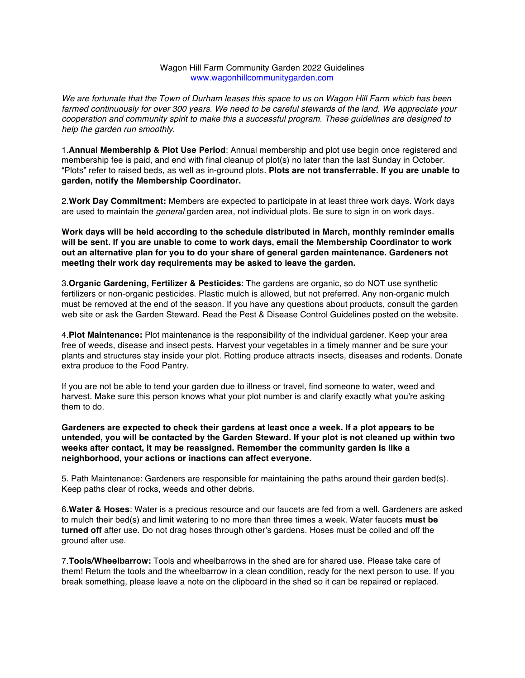## Wagon Hill Farm Community Garden 2022 Guidelines www.wagonhillcommunitygarden.com

*We are fortunate that the Town of Durham leases this space to us on Wagon Hill Farm which has been farmed continuously for over 300 years. We need to be careful stewards of the land. We appreciate your cooperation and community spirit to make this a successful program. These guidelines are designed to help the garden run smoothly.*

1.**Annual Membership & Plot Use Period**: Annual membership and plot use begin once registered and membership fee is paid, and end with final cleanup of plot(s) no later than the last Sunday in October. "Plots" refer to raised beds, as well as in-ground plots. **Plots are not transferrable. If you are unable to garden, notify the Membership Coordinator.** 

2.**Work Day Commitment:** Members are expected to participate in at least three work days. Work days are used to maintain the *general* garden area, not individual plots. Be sure to sign in on work days.

**Work days will be held according to the schedule distributed in March, monthly reminder emails will be sent. If you are unable to come to work days, email the Membership Coordinator to work out an alternative plan for you to do your share of general garden maintenance. Gardeners not meeting their work day requirements may be asked to leave the garden.**

3.**Organic Gardening, Fertilizer & Pesticides**: The gardens are organic, so do NOT use synthetic fertilizers or non-organic pesticides. Plastic mulch is allowed, but not preferred. Any non-organic mulch must be removed at the end of the season. If you have any questions about products, consult the garden web site or ask the Garden Steward. Read the Pest & Disease Control Guidelines posted on the website.

4.**Plot Maintenance:** Plot maintenance is the responsibility of the individual gardener. Keep your area free of weeds, disease and insect pests. Harvest your vegetables in a timely manner and be sure your plants and structures stay inside your plot. Rotting produce attracts insects, diseases and rodents. Donate extra produce to the Food Pantry.

If you are not be able to tend your garden due to illness or travel, find someone to water, weed and harvest. Make sure this person knows what your plot number is and clarify exactly what you're asking them to do.

**Gardeners are expected to check their gardens at least once a week. If a plot appears to be untended, you will be contacted by the Garden Steward. If your plot is not cleaned up within two weeks after contact, it may be reassigned. Remember the community garden is like a neighborhood, your actions or inactions can affect everyone.**

5. Path Maintenance: Gardeners are responsible for maintaining the paths around their garden bed(s). Keep paths clear of rocks, weeds and other debris.

6.**Water & Hoses**: Water is a precious resource and our faucets are fed from a well. Gardeners are asked to mulch their bed(s) and limit watering to no more than three times a week. Water faucets **must be turned off** after use. Do not drag hoses through other's gardens. Hoses must be coiled and off the ground after use.

7.**Tools/Wheelbarrow:** Tools and wheelbarrows in the shed are for shared use. Please take care of them! Return the tools and the wheelbarrow in a clean condition, ready for the next person to use. If you break something, please leave a note on the clipboard in the shed so it can be repaired or replaced.